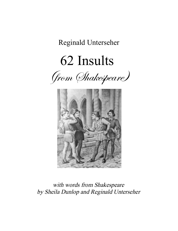Reginald Unterseher

## 62 Insults (from Shakespeare)



## with words from Shakespeare by Sheila Dunlop and Reginald Unterseher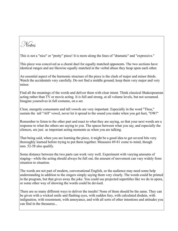## Notes

This is not a "nice" or "pretty" piece! It is more along the lines of "dramatic" and "expressive."

This piece was conceived as a choral duel for equally matched opponents. The two sections have identical ranges and are likewise equally matched in the verbal abuse they heap upon each other.

An essential aspect of the harmonic structure of the piece is the clash of major and minor thirds. Watch the accidentals very carefully. Do not find a middle ground; keep them very major and very minor.

Find all the meanings of the words and deliver them with clear intent. Think classical Shakespearean acting rather than TV or movie acting. It is full and strong, at all volume levels, but not screamed. Imagine yourselves in full costume, on a set.

Clear, energetic consonants and tall vowels are very important. Especially in the word "Thou," sustain the tall "AH" vowel, never let it spread to the sound you make when you get hurt, "OW!"

Remember to listen to the other part and react to what they are saying, so that your next words are a response to what the others are saying to you. The spaces between what you say, and especially the silences, are just as important acting moments as when you are talking.

That being said, when you are learning the piece, it might be a good idea to get several bits very thoroughly learned before trying to put them together. Measures 69-81 come to mind, though mm. 52-58 also qualify.

Some distance between the two parts can work very well. Experiment with varying amounts of staging-- while the acting should always be full out, the amount of movement can vary widely from situation to situation.

The words are not part of modern, conversational English, so the audience may need some help understanding in addition to the singers simply saying them very clearly. The words could be printed in the program, but that gives away the joke. You could use projected supertitles like we do in opera, or some other way of showing the words could be devised.

There are so many different ways to deliver the insults! None of them should be the same. They can be given with a wicked smile and flashing eyes, with sudden fury, with calculated disdain, with indignation, with resentment, with annoyance, and with all sorts of other intentions and attitudes you can find in the thesaurus...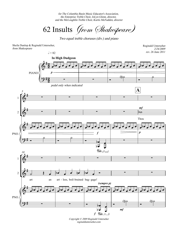for The Columbia Basin Music Educator's Association, the Enterprise Treble Choir, JoLyn Glenn, director, and the McLoughlin Treble Choir, Kurtis McFadden, director

62 Insults (from Shakespeare)

Two equal treble choruses (div.) and piano

Reginald Unterseher

Sheila Dunlop & Reginald Unterseher, from Shakespeare



Copyright © 2009 Reginald Unterseher reginaldunterseher.com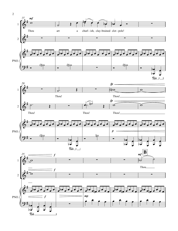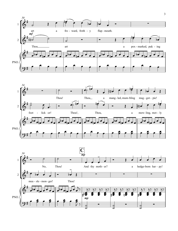



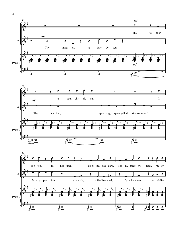

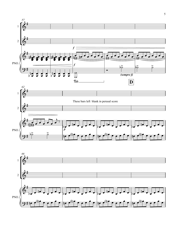



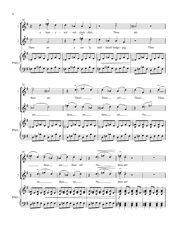



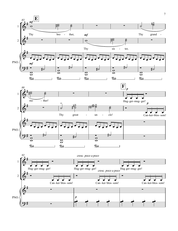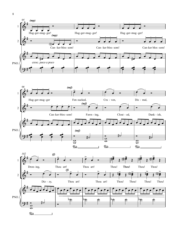